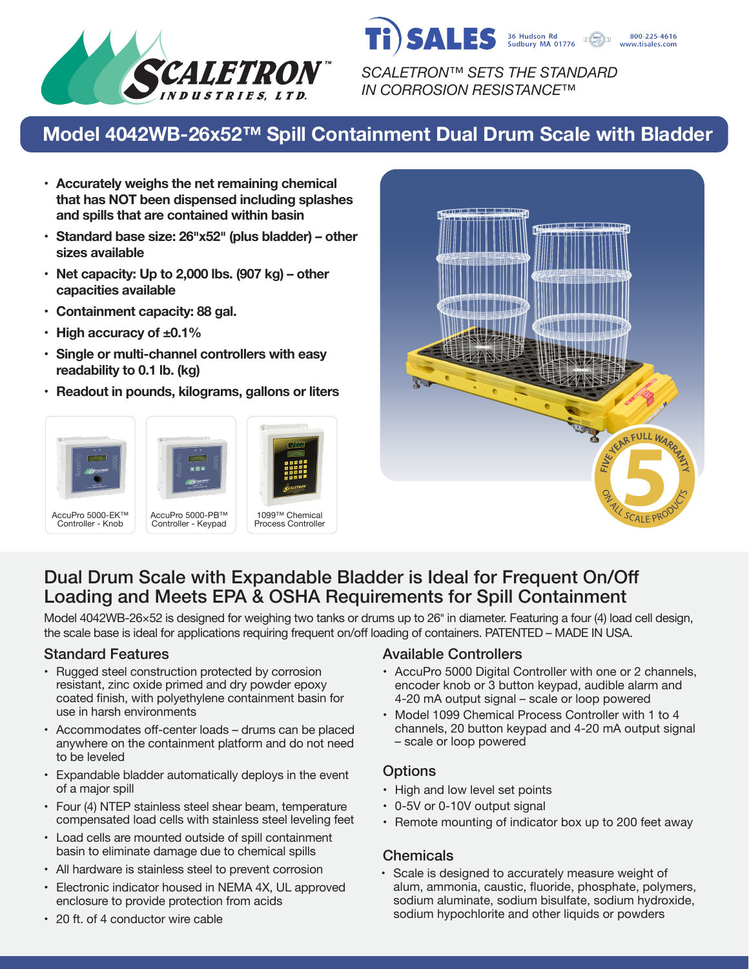

*SCALETRON™ SETS THE STANDARD IN CORROSION RESISTANCE™*

36 Hudson Rd<br>Sudbury MA 01776

800-225-4616 www.tisales.com

SALES

# **Model 4042WB-26x52™ Spill Containment Dual Drum Scale with Bladder**

- **• Accurately weighs the net remaining chemical that has NOT been dispensed including splashes and spills that are contained within basin**
- **• Standard base size: 26�x52� (plus bladder) – other sizes available**
- **• Net capacity: Up to 2,000 lbs. (907 kg) – other capacities available**
- **• Containment capacity: 88 gal.**
- **• High accuracy of ±0.1%**
- **• Single or multi-channel controllers with easy readability to 0.1 lb. (kg)**
- **• Readout in pounds, kilograms, gallons or liters**









# Dual Drum Scale with Expandable Bladder is Ideal for Frequent On/Off Loading and Meets EPA & OSHA Requirements for Spill Containment

Model 4042WB-26×52 is designed for weighing two tanks or drums up to 26" in diameter. Featuring a four (4) load cell design, the scale base is ideal for applications requiring frequent on/off loading of containers. PATENTED – MADE IN USA.

- Rugged steel construction protected by corrosion resistant, zinc oxide primed and dry powder epoxy coated finish, with polyethylene containment basin for use in harsh environments
- Accommodates off-center loads drums can be placed anywhere on the containment platform and do not need to be leveled
- Expandable bladder automatically deploys in the event of a major spill
- Four (4) NTEP stainless steel shear beam, temperature compensated load cells with stainless steel leveling feet
- Load cells are mounted outside of spill containment basin to eliminate damage due to chemical spills
- All hardware is stainless steel to prevent corrosion
- Electronic indicator housed in NEMA 4X, UL approved enclosure to provide protection from acids

## Standard Features **Available Controllers** Available Controllers

- AccuPro 5000 Digital Controller with one or 2 channels, encoder knob or 3 button keypad, audible alarm and 4-20 mA output signal – scale or loop powered
- Model 1099 Chemical Process Controller with 1 to 4 channels, 20 button keypad and 4-20 mA output signal – scale or loop powered

## **Options**

- High and low level set points
- 0-5V or 0-10V output signal
- Remote mounting of indicator box up to 200 feet away

## Chemicals

• Scale is designed to accurately measure weight of alum, ammonia, caustic, fluoride, phosphate, polymers, sodium aluminate, sodium bisulfate, sodium hydroxide, sodium hypochlorite and other liquids or powders

• 20 ft. of 4 conductor wire cable